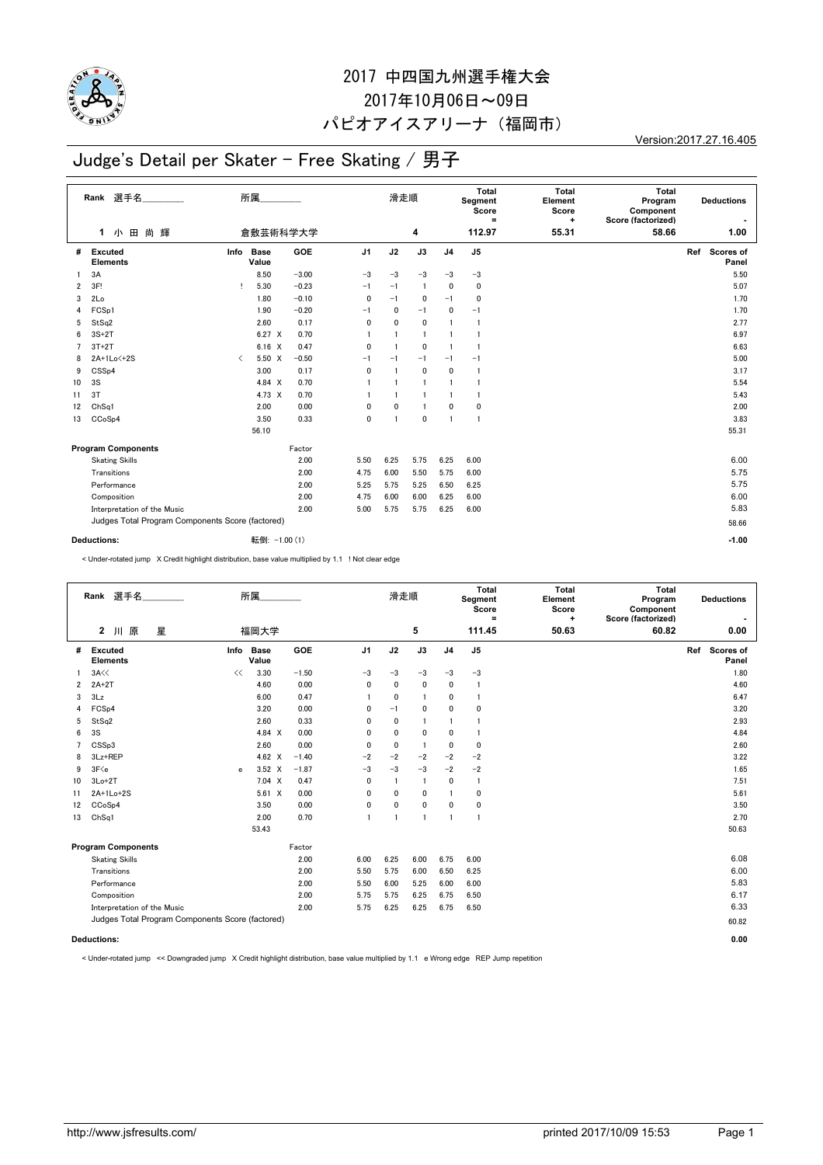

#### 2017 中四国九州選手権大会 2017年10月06日~09日

### パピオアイスアリーナ(福岡市)

Version:2017.27.16.405

# Judge's Detail per Skater - Free Skating / 男子

|                | Rank 選手名<br>尚輝<br>$\mathbf 1$                          | 所属                   |               |                | 滑走順            |                |                | <b>Total</b><br>Segment<br>Score<br>Ξ<br>112.97 | <b>Total</b><br>Element<br>Score<br>+<br>55.31 | Total<br>Program<br>Component<br>Score (factorized)<br>58.66 | <b>Deductions</b><br>1.00 |
|----------------|--------------------------------------------------------|----------------------|---------------|----------------|----------------|----------------|----------------|-------------------------------------------------|------------------------------------------------|--------------------------------------------------------------|---------------------------|
|                | 田<br>小                                                 | 倉敷芸術科学大学             |               |                |                | 4              |                |                                                 |                                                |                                                              |                           |
| #              | <b>Excuted</b><br>Info<br><b>Elements</b>              | <b>Base</b><br>Value | GOE           | J <sub>1</sub> | J2             | J3             | J <sub>4</sub> | J <sub>5</sub>                                  |                                                |                                                              | Ref<br>Scores of<br>Panel |
| 1.             | 3A                                                     | 8.50                 | $-3.00$       | $-3$           | $-3$           | $-3$           | $-3$           | $-3$                                            |                                                |                                                              | 5.50                      |
| $\overline{2}$ | 3F!                                                    | 5.30                 | $-0.23$       | $-1$           | $-1$           | $\overline{1}$ | $\mathbf 0$    | $\mathbf 0$                                     |                                                |                                                              | 5.07                      |
| 3              | 2Lo                                                    | 1.80                 | $-0.10$       | $\mathbf 0$    | $-1$           | 0              | $-1$           | $\mathbf 0$                                     |                                                |                                                              | 1.70                      |
| 4              | FCSp1                                                  | 1.90                 | $-0.20$       | $-1$           | 0              | $-1$           | 0              | $-1$                                            |                                                |                                                              | 1.70                      |
| 5              | StSq2                                                  | 2.60                 | 0.17          | 0              | 0              | 0              |                | -1                                              |                                                |                                                              | 2.77                      |
| 6              | $3S+2T$                                                | $6.27 \times$        | 0.70          | $\mathbf{1}$   | $\mathbf{1}$   | $\overline{1}$ |                | $\mathbf{1}$                                    |                                                |                                                              | 6.97                      |
| 7              | $3T+2T$                                                | $6.16 \t X$          | 0.47          | $\mathbf 0$    | $\overline{1}$ | 0              | $\mathbf{1}$   | $\mathbf{1}$                                    |                                                |                                                              | 6.63                      |
| 8              | 2A+1Lo<+2S<br>$\overline{\left\langle \right\rangle }$ | 5.50 X               | $-0.50$       | $-1$           | $-1$           | $-1$           | $-1$           | $-1$                                            |                                                |                                                              | 5.00                      |
| 9              | CSSp4                                                  | 3.00                 | 0.17          | $\mathbf 0$    | $\overline{1}$ | 0              | 0              | -1                                              |                                                |                                                              | 3.17                      |
| 10             | 3S                                                     | 4.84 X               | 0.70          | $\mathbf{1}$   | $\overline{1}$ | $\overline{1}$ | $\mathbf{1}$   | -1                                              |                                                |                                                              | 5.54                      |
| 11             | 3T                                                     | 4.73 X               | 0.70          | $\overline{1}$ | $\mathbf{1}$   | $\mathbf{1}$   | $\mathbf{1}$   | -1                                              |                                                |                                                              | 5.43                      |
| 12             | Ch <sub>Sq1</sub>                                      | 2.00                 | 0.00          | 0              | $\mathbf 0$    | $\overline{1}$ | 0              | $\mathbf 0$                                     |                                                |                                                              | 2.00                      |
| 13             | CCoSp4                                                 | 3.50                 | 0.33          | $\mathbf 0$    | $\overline{1}$ | $\mathbf{0}$   | $\overline{1}$ | $\mathbf{1}$                                    |                                                |                                                              | 3.83                      |
|                |                                                        | 56.10                |               |                |                |                |                |                                                 |                                                |                                                              | 55.31                     |
|                | <b>Program Components</b>                              |                      | Factor        |                |                |                |                |                                                 |                                                |                                                              |                           |
|                | <b>Skating Skills</b>                                  |                      | 2.00          | 5.50           | 6.25           | 5.75           | 6.25           | 6.00                                            |                                                |                                                              | 6.00                      |
|                | Transitions                                            |                      | 2.00          | 4.75           | 6.00           | 5.50           | 5.75           | 6.00                                            |                                                |                                                              | 5.75                      |
|                | Performance                                            |                      | 2.00          | 5.25           | 5.75           | 5.25           | 6.50           | 6.25                                            |                                                |                                                              | 5.75                      |
|                | Composition                                            |                      | 2.00          | 4.75           | 6.00           | 6.00           | 6.25           | 6.00                                            |                                                |                                                              | 6.00                      |
|                | Interpretation of the Music                            |                      | 2.00          | 5.00           | 5.75           | 5.75           | 6.25           | 6.00                                            |                                                |                                                              | 5.83                      |
|                | Judges Total Program Components Score (factored)       |                      |               |                |                |                |                |                                                 |                                                |                                                              | 58.66                     |
|                |                                                        |                      |               |                |                |                |                |                                                 |                                                |                                                              |                           |
|                | <b>Deductions:</b>                                     |                      | 転倒: -1.00 (1) |                |                |                |                |                                                 |                                                |                                                              | $-1.00$                   |

< Under-rotated jump X Credit highlight distribution, base value multiplied by 1.1 ! Not clear edge

|                | Rank 選手名<br>$\mathbf{2}$<br>川原<br>星              |    | 所属<br>福岡大学         |         |                | 滑走順          | 5            |                | Total<br>Segment<br>Score<br>$=$<br>111.45 | <b>Total</b><br>Element<br>Score<br>÷<br>50.63 | Total<br>Program<br>Component<br>Score (factorized)<br>60.82 | <b>Deductions</b><br>0.00 |
|----------------|--------------------------------------------------|----|--------------------|---------|----------------|--------------|--------------|----------------|--------------------------------------------|------------------------------------------------|--------------------------------------------------------------|---------------------------|
|                |                                                  |    |                    |         |                |              |              |                |                                            |                                                |                                                              |                           |
| #              | <b>Excuted</b><br><b>Elements</b>                |    | Info Base<br>Value | GOE     | J <sub>1</sub> | J2           | J3           | J <sub>4</sub> | J <sub>5</sub>                             |                                                |                                                              | Ref Scores of<br>Panel    |
|                | $3A \ll$                                         | << | 3.30               | $-1.50$ | $-3$           | $-3$         | $-3$         | $-3$           | $-3$                                       |                                                |                                                              | 1.80                      |
| $\overline{2}$ | $2A+2T$                                          |    | 4.60               | 0.00    | 0              | 0            | $\mathbf 0$  | 0              | $\overline{1}$                             |                                                |                                                              | 4.60                      |
| 3              | 3Lz                                              |    | 6.00               | 0.47    | 1              | 0            | 1            | 0              | $\mathbf{1}$                               |                                                |                                                              | 6.47                      |
| 4              | FCSp4                                            |    | 3.20               | 0.00    | 0              | $-1$         | $\mathbf 0$  | 0              | 0                                          |                                                |                                                              | 3.20                      |
| 5              | StSq2                                            |    | 2.60               | 0.33    | 0              | $\mathbf{0}$ | $\mathbf{1}$ | 1              |                                            |                                                |                                                              | 2.93                      |
| 6              | 3S                                               |    | 4.84 X             | 0.00    | 0              | $\mathbf{0}$ | $\mathbf 0$  | 0              | $\overline{1}$                             |                                                |                                                              | 4.84                      |
| 7              | CSSp3                                            |    | 2.60               | 0.00    | 0              | 0            | $\mathbf{1}$ | 0              | 0                                          |                                                |                                                              | 2.60                      |
| 8              | 3Lz+REP                                          |    | 4.62 $\times$      | $-1.40$ | $-2$           | $-2$         | $-2$         | $-2$           | $-2$                                       |                                                |                                                              | 3.22                      |
| 9              | 3F <sub>e</sub>                                  | e  | $3.52 \times$      | $-1.87$ | $-3$           | $-3$         | $-3$         | $-2$           | $-2$                                       |                                                |                                                              | 1.65                      |
| 10             | $3Lo+2T$                                         |    | 7.04 X             | 0.47    | 0              | 1            | $\mathbf{1}$ | 0              | $\mathbf{1}$                               |                                                |                                                              | 7.51                      |
| 11             | $2A+1Lo+2S$                                      |    | $5.61 \t X$        | 0.00    | 0              | 0            | 0            | 1              | 0                                          |                                                |                                                              | 5.61                      |
| 12             | CCoSp4                                           |    | 3.50               | 0.00    | 0              | 0            | 0            | 0              | 0                                          |                                                |                                                              | 3.50                      |
| 13             | Ch <sub>Sq1</sub>                                |    | 2.00               | 0.70    | $\mathbf{1}$   | $\mathbf{1}$ | $\mathbf{1}$ | $\mathbf{1}$   | $\overline{1}$                             |                                                |                                                              | 2.70                      |
|                |                                                  |    | 53.43              |         |                |              |              |                |                                            |                                                |                                                              | 50.63                     |
|                | <b>Program Components</b>                        |    |                    | Factor  |                |              |              |                |                                            |                                                |                                                              |                           |
|                | <b>Skating Skills</b>                            |    |                    | 2.00    | 6.00           | 6.25         | 6.00         | 6.75           | 6.00                                       |                                                |                                                              | 6.08                      |
|                | Transitions                                      |    |                    | 2.00    | 5.50           | 5.75         | 6.00         | 6.50           | 6.25                                       |                                                |                                                              | 6.00                      |
|                | Performance                                      |    |                    | 2.00    | 5.50           | 6.00         | 5.25         | 6.00           | 6.00                                       |                                                |                                                              | 5.83                      |
|                | Composition                                      |    |                    | 2.00    | 5.75           | 5.75         | 6.25         | 6.75           | 6.50                                       |                                                |                                                              | 6.17                      |
|                | Interpretation of the Music                      |    |                    | 2.00    | 5.75           | 6.25         | 6.25         | 6.75           | 6.50                                       |                                                |                                                              | 6.33                      |
|                | Judges Total Program Components Score (factored) |    |                    |         |                |              |              |                |                                            |                                                |                                                              | 60.82                     |
|                | <b>Deductions:</b>                               |    |                    |         |                |              |              |                |                                            |                                                |                                                              | 0.00                      |

< Under-rotated jump << Downgraded jump X Credit highlight distribution, base value multiplied by 1.1 e Wrong edge REP Jump repetition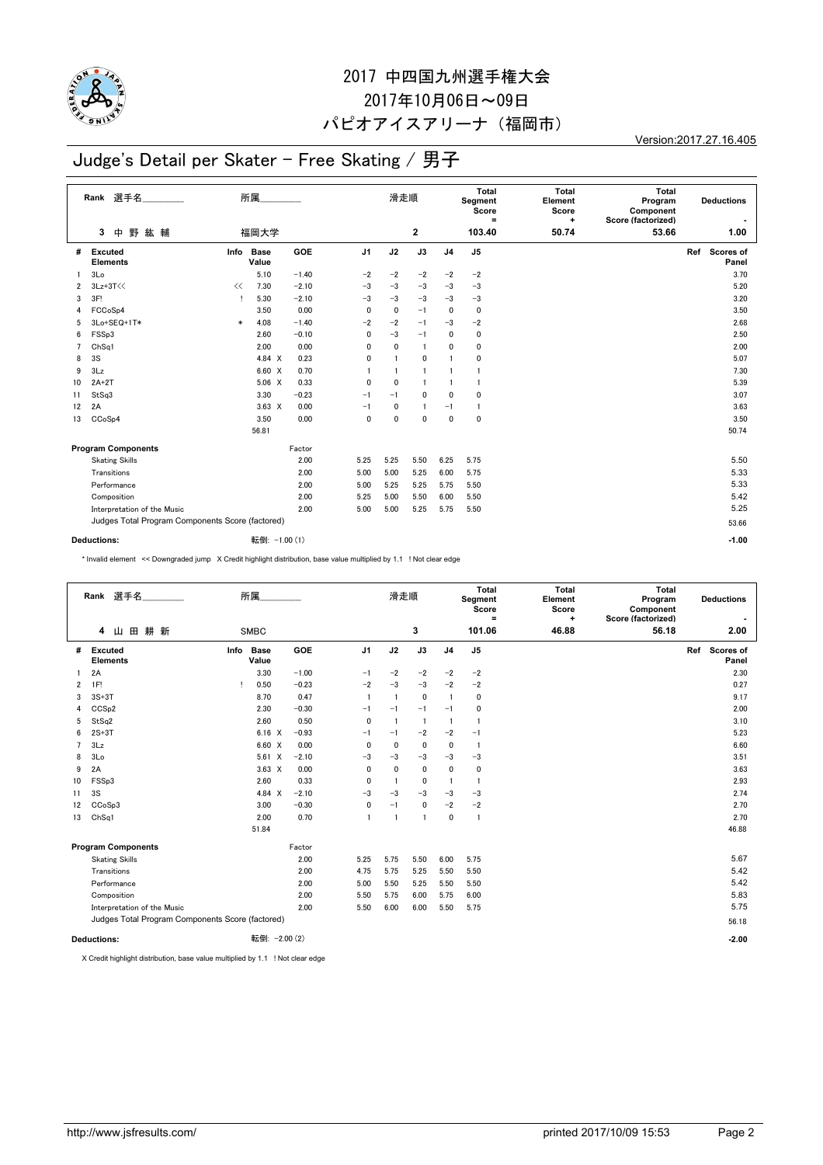

## 2017 中四国九州選手権大会 2017年10月06日~09日

#### パピオアイスアリーナ(福岡市)

Version:2017.27.16.405

## Judge's Detail per Skater - Free Skating / 男子

|                | Rank 選手名                                         |        | 所属                   |         |                | 滑走順          |                |                | Total<br>Segment<br>Score<br>Ξ | <b>Total</b><br>Element<br>Score<br>+ | Total<br>Program<br>Component<br>Score (factorized) |     | <b>Deductions</b>  |
|----------------|--------------------------------------------------|--------|----------------------|---------|----------------|--------------|----------------|----------------|--------------------------------|---------------------------------------|-----------------------------------------------------|-----|--------------------|
|                | 野<br>紘輔<br>中<br>3                                |        | 福岡大学                 |         |                |              | $\mathbf{2}$   |                | 103.40                         | 50.74                                 | 53.66                                               |     | 1.00               |
| #              | Excuted<br>Info<br><b>Elements</b>               |        | <b>Base</b><br>Value | GOE     | J <sub>1</sub> | J2           | J3             | J <sub>4</sub> | J <sub>5</sub>                 |                                       |                                                     | Ref | Scores of<br>Panel |
| 1.             | 3Lo                                              |        | 5.10                 | $-1.40$ | $-2$           | $-2$         | $-2$           | $-2$           | $-2$                           |                                       |                                                     |     | 3.70               |
| $\overline{2}$ | $3Lz + 3T <<$<br><<                              |        | 7.30                 | $-2.10$ | $-3$           | $-3$         | $-3$           | $-3$           | $-3$                           |                                       |                                                     |     | 5.20               |
| 3              | 3F!                                              |        | 5.30                 | $-2.10$ | $-3$           | $-3$         | $-3$           | $-3$           | $-3$                           |                                       |                                                     |     | 3.20               |
| 4              | FCCoSp4                                          |        | 3.50                 | 0.00    | $\mathbf 0$    | 0            | $-1$           | 0              | 0                              |                                       |                                                     |     | 3.50               |
| 5              | 3Lo+SEQ+1T*                                      | $\ast$ | 4.08                 | $-1.40$ | $-2$           | $-2$         | $-1$           | $-3$           | $-2$                           |                                       |                                                     |     | 2.68               |
| 6              | FSSp3                                            |        | 2.60                 | $-0.10$ | 0              | $-3$         | $-1$           | 0              | 0                              |                                       |                                                     |     | 2.50               |
| $\overline{7}$ | ChSq1                                            |        | 2.00                 | 0.00    | 0              | 0            | $\overline{1}$ | 0              | 0                              |                                       |                                                     |     | 2.00               |
| 8              | 3S                                               |        | 4.84 X               | 0.23    | 0              |              | 0              |                | 0                              |                                       |                                                     |     | 5.07               |
| 9              | 3Lz                                              |        | 6.60 X               | 0.70    |                | $\mathbf{1}$ | $\mathbf{1}$   | $\mathbf{1}$   | 1                              |                                       |                                                     |     | 7.30               |
| 10             | $2A+2T$                                          |        | $5.06 \quad X$       | 0.33    | 0              | $\mathbf 0$  | $\overline{1}$ | $\mathbf{1}$   | 1                              |                                       |                                                     |     | 5.39               |
| 11             | StSq3                                            |        | 3.30                 | $-0.23$ | $-1$           | $-1$         | $\mathbf 0$    | 0              | 0                              |                                       |                                                     |     | 3.07               |
| 12             | 2A                                               |        | $3.63 \times$        | 0.00    | $-1$           | 0            | $\overline{1}$ | $-1$           | -1                             |                                       |                                                     |     | 3.63               |
| 13             | CCoSp4                                           |        | 3.50                 | 0.00    | 0              | $\mathbf{0}$ | $\mathbf{0}$   | $\mathbf{0}$   | 0                              |                                       |                                                     |     | 3.50               |
|                |                                                  |        | 56.81                |         |                |              |                |                |                                |                                       |                                                     |     | 50.74              |
|                | <b>Program Components</b>                        |        |                      | Factor  |                |              |                |                |                                |                                       |                                                     |     |                    |
|                | <b>Skating Skills</b>                            |        |                      | 2.00    | 5.25           | 5.25         | 5.50           | 6.25           | 5.75                           |                                       |                                                     |     | 5.50               |
|                | Transitions                                      |        |                      | 2.00    | 5.00           | 5.00         | 5.25           | 6.00           | 5.75                           |                                       |                                                     |     | 5.33               |
|                | Performance                                      |        |                      | 2.00    | 5.00           | 5.25         | 5.25           | 5.75           | 5.50                           |                                       |                                                     |     | 5.33               |
|                | Composition                                      |        |                      | 2.00    | 5.25           | 5.00         | 5.50           | 6.00           | 5.50                           |                                       |                                                     |     | 5.42               |
|                | Interpretation of the Music                      |        |                      | 2.00    | 5.00           | 5.00         | 5.25           | 5.75           | 5.50                           |                                       |                                                     |     | 5.25               |
|                | Judges Total Program Components Score (factored) |        |                      |         |                |              |                |                |                                |                                       |                                                     |     | 53.66              |
|                |                                                  |        |                      |         |                |              |                |                |                                |                                       |                                                     |     |                    |
|                | Deductions:                                      |        | 転倒: -1.00 (1)        |         |                |              |                |                |                                |                                       |                                                     |     | $-1.00$            |

\* Invalid element << Downgraded jump X Credit highlight distribution, base value multiplied by 1.1 ! Not clear edge

| Rank 選手名           |                                                  | 所属                   |         |                | 滑走順            |                |                | Total<br>Segment<br>Score<br>$\equiv$ | <b>Total</b><br>Element<br>Score<br>÷ | <b>Total</b><br>Program<br>Component<br>Score (factorized) | <b>Deductions</b>         |
|--------------------|--------------------------------------------------|----------------------|---------|----------------|----------------|----------------|----------------|---------------------------------------|---------------------------------------|------------------------------------------------------------|---------------------------|
|                    | 田<br>耕 新<br>4<br>Ш                               | <b>SMBC</b>          |         |                |                | 3              |                | 101.06                                | 46.88                                 | 56.18                                                      | 2.00                      |
| #                  | <b>Excuted</b><br>Info<br><b>Elements</b>        | <b>Base</b><br>Value | GOE     | J <sub>1</sub> | J2             | J3             | J <sub>4</sub> | J <sub>5</sub>                        |                                       |                                                            | Ref<br>Scores of<br>Panel |
| 1.                 | 2A                                               | 3.30                 | $-1.00$ | $-1$           | $-2$           | $-2$           | $-2$           | $-2$                                  |                                       |                                                            | 2.30                      |
| 2                  | 1F!<br>л.                                        | 0.50                 | $-0.23$ | $-2$           | $-3$           | $-3$           | $-2$           | $-2$                                  |                                       |                                                            | 0.27                      |
| 3                  | $3S+3T$                                          | 8.70                 | 0.47    | $\overline{1}$ | $\overline{1}$ | $\mathbf 0$    |                | 0                                     |                                       |                                                            | 9.17                      |
| 4                  | CCS <sub>p2</sub>                                | 2.30                 | $-0.30$ | $-1$           | $-1$           | $-1$           | $-1$           | 0                                     |                                       |                                                            | 2.00                      |
| 5                  | StSq2                                            | 2.60                 | 0.50    | $\mathbf 0$    | $\overline{1}$ | $\overline{1}$ |                | $\mathbf{1}$                          |                                       |                                                            | 3.10                      |
| 6                  | $2S+3T$                                          | $6.16 \quad X$       | $-0.93$ | $-1$           | $-1$           | $-2$           | $-2$           | $-1$                                  |                                       |                                                            | 5.23                      |
| $\overline{7}$     | 3Lz                                              | 6.60 X               | 0.00    | $\mathbf 0$    | 0              | $\mathbf 0$    | 0              | $\mathbf{1}$                          |                                       |                                                            | 6.60                      |
| 8                  | 3Lo                                              | $5.61 \times$        | $-2.10$ | -3             | $-3$           | $-3$           | $-3$           | $-3$                                  |                                       |                                                            | 3.51                      |
| 9                  | 2A                                               | $3.63 \times$        | 0.00    | $\mathbf{0}$   | $\mathbf 0$    | $\mathbf 0$    | 0              | $\mathbf 0$                           |                                       |                                                            | 3.63                      |
| 10                 | FSSp3                                            | 2.60                 | 0.33    | $\mathbf{0}$   | $\overline{1}$ | $\mathbf 0$    | -1             | $\mathbf{1}$                          |                                       |                                                            | 2.93                      |
| 11                 | 3S                                               | 4.84 $X$             | $-2.10$ | -3             | $-3$           | $-3$           | $-3$           | $-3$                                  |                                       |                                                            | 2.74                      |
| 12                 | CCoSp3                                           | 3.00                 | $-0.30$ | $\mathbf 0$    | $-1$           | $\pmb{0}$      | $-2$           | $-2$                                  |                                       |                                                            | 2.70                      |
| 13                 | Ch <sub>Sq1</sub>                                | 2.00                 | 0.70    | $\overline{1}$ | $\overline{1}$ | $\overline{1}$ | $\mathbf{0}$   | 1                                     |                                       |                                                            | 2.70                      |
|                    |                                                  | 51.84                |         |                |                |                |                |                                       |                                       |                                                            | 46.88                     |
|                    | <b>Program Components</b>                        |                      | Factor  |                |                |                |                |                                       |                                       |                                                            |                           |
|                    | <b>Skating Skills</b>                            |                      | 2.00    | 5.25           | 5.75           | 5.50           | 6.00           | 5.75                                  |                                       |                                                            | 5.67                      |
|                    | Transitions                                      |                      | 2.00    | 4.75           | 5.75           | 5.25           | 5.50           | 5.50                                  |                                       |                                                            | 5.42                      |
|                    | Performance                                      |                      | 2.00    | 5.00           | 5.50           | 5.25           | 5.50           | 5.50                                  |                                       |                                                            | 5.42                      |
|                    | Composition                                      |                      | 2.00    | 5.50           | 5.75           | 6.00           | 5.75           | 6.00                                  |                                       |                                                            | 5.83                      |
|                    | Interpretation of the Music                      |                      | 2.00    | 5.50           | 6.00           | 6.00           | 5.50           | 5.75                                  |                                       |                                                            | 5.75                      |
|                    | Judges Total Program Components Score (factored) |                      |         |                |                |                |                |                                       |                                       |                                                            | 56.18                     |
|                    |                                                  | 転倒: - 2.00 (2)       |         |                |                |                |                |                                       |                                       |                                                            | $-2.00$                   |
| <b>Deductions:</b> |                                                  |                      |         |                |                |                |                |                                       |                                       |                                                            |                           |

X Credit highlight distribution, base value multiplied by 1.1 ! Not clear edge